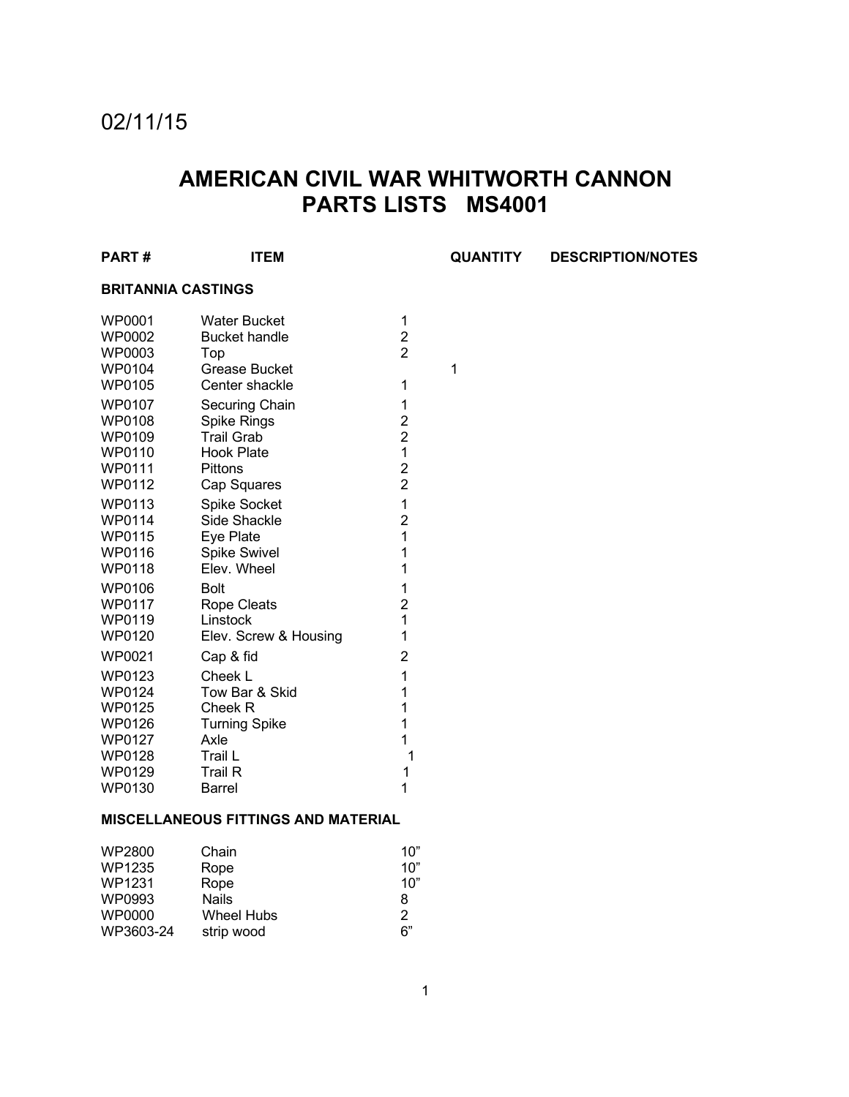# 02/11/15

# **AMERICAN CIVIL WAR WHITWORTH CANNON PARTS LISTS MS4001**

| <b>PART#</b>              | <b>ITEM</b>           |                | <b>QUANTITY</b> | <b>DESCRIPTION/NOTES</b> |
|---------------------------|-----------------------|----------------|-----------------|--------------------------|
| <b>BRITANNIA CASTINGS</b> |                       |                |                 |                          |
| WP0001                    | <b>Water Bucket</b>   | 1              |                 |                          |
| WP0002                    | <b>Bucket handle</b>  | $\overline{c}$ |                 |                          |
| WP0003                    | Top                   | $\overline{2}$ |                 |                          |
| WP0104                    | <b>Grease Bucket</b>  |                | 1               |                          |
| WP0105                    | Center shackle        | 1              |                 |                          |
| WP0107                    | Securing Chain        | 1              |                 |                          |
| WP0108                    | Spike Rings           | $\overline{c}$ |                 |                          |
| WP0109                    | <b>Trail Grab</b>     | $\overline{2}$ |                 |                          |
| WP0110                    | <b>Hook Plate</b>     | 1              |                 |                          |
| WP0111                    | Pittons               | $\overline{2}$ |                 |                          |
| WP0112                    | Cap Squares           | $\overline{2}$ |                 |                          |
| WP0113                    | <b>Spike Socket</b>   | 1              |                 |                          |
| WP0114                    | Side Shackle          | $\overline{2}$ |                 |                          |
| WP0115                    | Eye Plate             | 1              |                 |                          |
| WP0116                    | <b>Spike Swivel</b>   | 1              |                 |                          |
| <b>WP0118</b>             | Elev. Wheel           | 1              |                 |                          |
| WP0106                    | <b>Bolt</b>           | 1              |                 |                          |
| WP0117                    | Rope Cleats           | $\overline{c}$ |                 |                          |
| WP0119                    | Linstock              | 1              |                 |                          |
| WP0120                    | Elev. Screw & Housing | 1              |                 |                          |
| WP0021                    | Cap & fid             | $\overline{2}$ |                 |                          |
| WP0123                    | Cheek L               | 1              |                 |                          |
| WP0124                    | Tow Bar & Skid        | 1              |                 |                          |
| WP0125                    | Cheek R               | 1              |                 |                          |
| WP0126                    | <b>Turning Spike</b>  | 1              |                 |                          |
| WP0127                    | Axle                  | 1              |                 |                          |
| WP0128                    | Trail L               | 1              |                 |                          |
| WP0129                    | <b>Trail R</b>        | 1              |                 |                          |
| WP0130                    | <b>Barrel</b>         | 1              |                 |                          |

### **MISCELLANEOUS FITTINGS AND MATERIAL**

| WP2800    | Chain        | 10" |
|-----------|--------------|-----|
| WP1235    | Rope         | 10" |
| WP1231    | Rope         | 10" |
| WP0993    | <b>Nails</b> | 8   |
| WP0000    | Wheel Hubs   | 2   |
| WP3603-24 | strip wood   | 6"  |